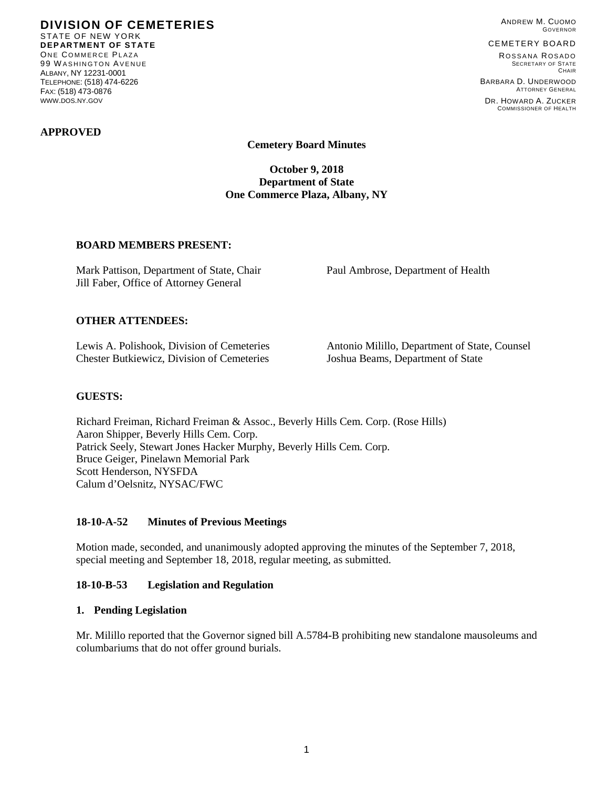**DIVISION OF CEMETERIES** STATE OF NEW YORK **DEPARTMENT OF STATE** ONE COMMERCE PLAZA 99 W ASHINGTON AVENUE ALBANY, NY 12231-0001 TELEPHONE: (518) 474-6226 FAX: (518) 473-0876 WWW.DOS.NY.GOV

ANDREW M. CUOMO GOVERNOR

#### CEMETERY BOARD

ROSSANA ROSADO SECRETARY OF STATE **CHAIR** 

COMMISSIONER OF HEALTH

BARBARA D. UNDERWOOD ATTORNEY GENERAL DR. HOWARD A. ZUCKER

**APPROVED**

**Cemetery Board Minutes**

**October 9, 2018 Department of State One Commerce Plaza, Albany, NY**

### **BOARD MEMBERS PRESENT:**

Mark Pattison, Department of State, Chair Paul Ambrose, Department of Health Jill Faber, Office of Attorney General

## **OTHER ATTENDEES:**

Chester Butkiewicz, Division of Cemeteries Joshua Beams, Department of State

Lewis A. Polishook, Division of Cemeteries Antonio Milillo, Department of State, Counsel

## **GUESTS:**

Richard Freiman, Richard Freiman & Assoc., Beverly Hills Cem. Corp. (Rose Hills) Aaron Shipper, Beverly Hills Cem. Corp. Patrick Seely, Stewart Jones Hacker Murphy, Beverly Hills Cem. Corp. Bruce Geiger, Pinelawn Memorial Park Scott Henderson, NYSFDA Calum d'Oelsnitz, NYSAC/FWC

### **18-10-A-52 Minutes of Previous Meetings**

Motion made, seconded, and unanimously adopted approving the minutes of the September 7, 2018, special meeting and September 18, 2018, regular meeting, as submitted.

### **18-10-B-53 Legislation and Regulation**

### **1. Pending Legislation**

Mr. Milillo reported that the Governor signed bill A.5784-B prohibiting new standalone mausoleums and columbariums that do not offer ground burials.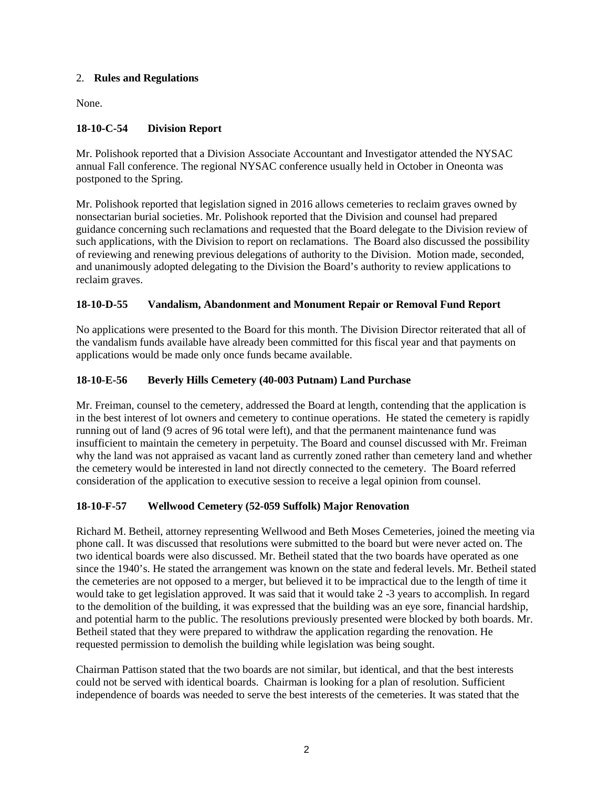# 2. **Rules and Regulations**

None.

# **18-10-C-54 Division Report**

Mr. Polishook reported that a Division Associate Accountant and Investigator attended the NYSAC annual Fall conference. The regional NYSAC conference usually held in October in Oneonta was postponed to the Spring.

Mr. Polishook reported that legislation signed in 2016 allows cemeteries to reclaim graves owned by nonsectarian burial societies. Mr. Polishook reported that the Division and counsel had prepared guidance concerning such reclamations and requested that the Board delegate to the Division review of such applications, with the Division to report on reclamations. The Board also discussed the possibility of reviewing and renewing previous delegations of authority to the Division. Motion made, seconded, and unanimously adopted delegating to the Division the Board's authority to review applications to reclaim graves.

# **18-10-D-55 Vandalism, Abandonment and Monument Repair or Removal Fund Report**

No applications were presented to the Board for this month. The Division Director reiterated that all of the vandalism funds available have already been committed for this fiscal year and that payments on applications would be made only once funds became available.

# **18-10-E-56 Beverly Hills Cemetery (40-003 Putnam) Land Purchase**

Mr. Freiman, counsel to the cemetery, addressed the Board at length, contending that the application is in the best interest of lot owners and cemetery to continue operations. He stated the cemetery is rapidly running out of land (9 acres of 96 total were left), and that the permanent maintenance fund was insufficient to maintain the cemetery in perpetuity. The Board and counsel discussed with Mr. Freiman why the land was not appraised as vacant land as currently zoned rather than cemetery land and whether the cemetery would be interested in land not directly connected to the cemetery. The Board referred consideration of the application to executive session to receive a legal opinion from counsel.

# **18-10-F-57 Wellwood Cemetery (52-059 Suffolk) Major Renovation**

Richard M. Betheil, attorney representing Wellwood and Beth Moses Cemeteries, joined the meeting via phone call. It was discussed that resolutions were submitted to the board but were never acted on. The two identical boards were also discussed. Mr. Betheil stated that the two boards have operated as one since the 1940's. He stated the arrangement was known on the state and federal levels. Mr. Betheil stated the cemeteries are not opposed to a merger, but believed it to be impractical due to the length of time it would take to get legislation approved. It was said that it would take 2 -3 years to accomplish. In regard to the demolition of the building, it was expressed that the building was an eye sore, financial hardship, and potential harm to the public. The resolutions previously presented were blocked by both boards. Mr. Betheil stated that they were prepared to withdraw the application regarding the renovation. He requested permission to demolish the building while legislation was being sought.

Chairman Pattison stated that the two boards are not similar, but identical, and that the best interests could not be served with identical boards. Chairman is looking for a plan of resolution. Sufficient independence of boards was needed to serve the best interests of the cemeteries. It was stated that the